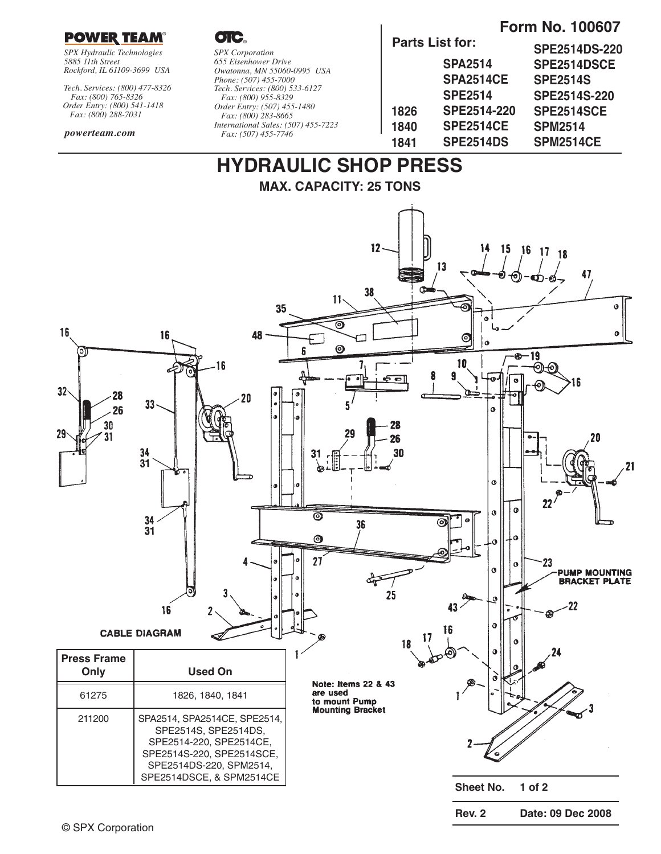

*SPX Hydraulic Technologies 5885 11th Street Rockford, IL 61109-3699 USA*

*Tech. Services: (800) 477-8326 Fax: (800) 765-8326 Order Entry: (800) 541-1418 Fax: (800) 288-7031*

#### *powerteam.com*

OIC.

#### *SPX Corporation 655 Eisenhower Drive Owatonna, MN 55060-0995 USA Phone: (507) 455-7000 Tech. Services: (800) 533-6127 Fax: (800) 955-8329 Order Entry: (507) 455-1480 Fax: (800) 283-8665 International Sales: (507) 455-7223 Fax: (507) 455-7746*

**Parts List for:**

### **Form No. 100607**

|      | Parts List Ior:    | <b>SPE2514DS-220</b> |  |  |
|------|--------------------|----------------------|--|--|
|      | <b>SPA2514</b>     | SPE2514DSCE          |  |  |
|      | <b>SPA2514CE</b>   | <b>SPE2514S</b>      |  |  |
|      | <b>SPE2514</b>     | SPE2514S-220         |  |  |
| 1826 | <b>SPE2514-220</b> | SPE2514SCE           |  |  |
| 1840 | <b>SPE2514CE</b>   | <b>SPM2514</b>       |  |  |
| 1841 | SPE2514DS          | <b>SPM2514CE</b>     |  |  |
|      |                    |                      |  |  |

**Rev. 2 Date: 09 Dec 2008**

# **HYDRAULIC SHOP PRESS**

**MAX. CAPACITY: 25 TONS**

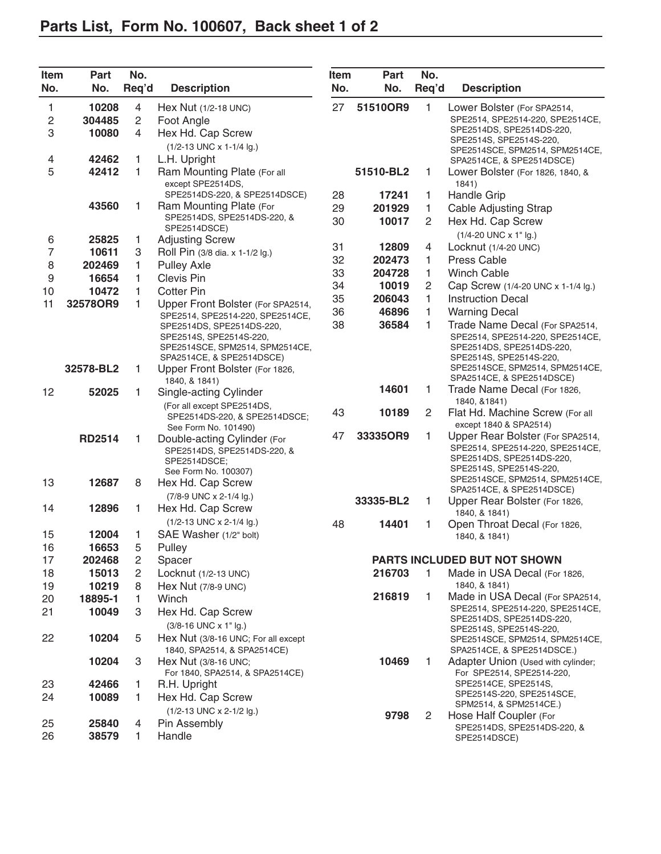| Item           | Part          | No.            |                                                            | Item | Part      | No.            |                                                               |
|----------------|---------------|----------------|------------------------------------------------------------|------|-----------|----------------|---------------------------------------------------------------|
| No.            | No.           | Req'd          | <b>Description</b>                                         | No.  | No.       | Req'd          | <b>Description</b>                                            |
| 1              | 10208         | 4              | Hex Nut (1/2-18 UNC)                                       | 27   | 51510OR9  | 1              | Lower Bolster (For SPA2514,                                   |
| $\sqrt{2}$     | 304485        | $\overline{2}$ | Foot Angle                                                 |      |           |                | SPE2514, SPE2514-220, SPE2514CE,                              |
| 3              | 10080         | 4              | Hex Hd. Cap Screw                                          |      |           |                | SPE2514DS, SPE2514DS-220,<br>SPE2514S, SPE2514S-220,          |
|                |               |                | (1/2-13 UNC x 1-1/4 lg.)                                   |      |           |                | SPE2514SCE, SPM2514, SPM2514CE,                               |
| 4              | 42462         | 1              | L.H. Upright                                               |      |           |                | SPA2514CE, & SPE2514DSCE)                                     |
| 5              | 42412         | 1              | Ram Mounting Plate (For all                                |      | 51510-BL2 | 1              | Lower Bolster (For 1826, 1840, &                              |
|                |               |                | except SPE2514DS,                                          |      |           |                | 1841)                                                         |
|                | 43560         | 1              | SPE2514DS-220, & SPE2514DSCE)<br>Ram Mounting Plate (For   | 28   | 17241     | 1              | <b>Handle Grip</b>                                            |
|                |               |                | SPE2514DS, SPE2514DS-220, &                                | 29   | 201929    | 1              | <b>Cable Adjusting Strap</b>                                  |
|                |               |                | SPE2514DSCE)                                               | 30   | 10017     | $\overline{c}$ | Hex Hd. Cap Screw                                             |
| 6              | 25825         | 1              | <b>Adjusting Screw</b>                                     |      |           |                | (1/4-20 UNC x 1" lg.)                                         |
| $\overline{7}$ | 10611         | 3              | Roll Pin (3/8 dia. x 1-1/2 lg.)                            | 31   | 12809     | 4              | Locknut (1/4-20 UNC)                                          |
| 8              | 202469        | 1              | <b>Pulley Axle</b>                                         | 32   | 202473    | 1              | Press Cable                                                   |
| 9              | 16654         | 1              | Clevis Pin                                                 | 33   | 204728    | 1              | <b>Winch Cable</b>                                            |
| 10             | 10472         | 1              | <b>Cotter Pin</b>                                          | 34   | 10019     | 2              | Cap Screw (1/4-20 UNC x 1-1/4 lg.)                            |
| 11             | 32578OR9      | 1              | Upper Front Bolster (For SPA2514,                          | 35   | 206043    | 1              | <b>Instruction Decal</b>                                      |
|                |               |                | SPE2514, SPE2514-220, SPE2514CE,                           | 36   | 46896     | 1              | <b>Warning Decal</b>                                          |
|                |               |                | SPE2514DS, SPE2514DS-220,                                  | 38   | 36584     | 1              | Trade Name Decal (For SPA2514,                                |
|                |               |                | SPE2514S, SPE2514S-220,<br>SPE2514SCE, SPM2514, SPM2514CE, |      |           |                | SPE2514, SPE2514-220, SPE2514CE,<br>SPE2514DS, SPE2514DS-220, |
|                |               |                | SPA2514CE, & SPE2514DSCE)                                  |      |           |                | SPE2514S, SPE2514S-220,                                       |
|                | 32578-BL2     | 1              | Upper Front Bolster (For 1826,                             |      |           |                | SPE2514SCE, SPM2514, SPM2514CE,                               |
|                |               |                | 1840, & 1841)                                              |      |           |                | SPA2514CE, & SPE2514DSCE)                                     |
| 12             | 52025         | 1              | Single-acting Cylinder                                     |      | 14601     | 1              | Trade Name Decal (For 1826,<br>1840, &1841)                   |
|                |               |                | (For all except SPE2514DS,                                 | 43   | 10189     | $\overline{c}$ | Flat Hd. Machine Screw (For all                               |
|                |               |                | SPE2514DS-220, & SPE2514DSCE;<br>See Form No. 101490)      |      |           |                | except 1840 & SPA2514)                                        |
|                | <b>RD2514</b> | 1              | Double-acting Cylinder (For                                | 47   | 33335OR9  | 1              | Upper Rear Bolster (For SPA2514,                              |
|                |               |                | SPE2514DS, SPE2514DS-220, &                                |      |           |                | SPE2514, SPE2514-220, SPE2514CE,                              |
|                |               |                | SPE2514DSCE;                                               |      |           |                | SPE2514DS, SPE2514DS-220,                                     |
|                |               |                | See Form No. 100307)                                       |      |           |                | SPE2514S, SPE2514S-220,<br>SPE2514SCE, SPM2514, SPM2514CE,    |
| 13             | 12687         | 8              | Hex Hd. Cap Screw                                          |      |           |                | SPA2514CE, & SPE2514DSCE)                                     |
|                | 12896         |                | (7/8-9 UNC x 2-1/4 lg.)                                    |      | 33335-BL2 | 1              | Upper Rear Bolster (For 1826,                                 |
| 14             |               | 1              | Hex Hd. Cap Screw                                          |      |           |                | 1840, & 1841)                                                 |
|                | 12004         |                | (1/2-13 UNC x 2-1/4 lg.)                                   | 48   | 14401     | 1              | Open Throat Decal (For 1826,                                  |
| 15<br>16       | 16653         | 1<br>5         | SAE Washer (1/2" bolt)                                     |      |           |                | 1840, & 1841)                                                 |
| 17             | 202468        | $\overline{c}$ | Pulley<br>Spacer                                           |      |           |                | PARTS INCLUDED BUT NOT SHOWN                                  |
| 18             | 15013         | 2              | Locknut (1/2-13 UNC)                                       |      | 216703    | $\mathbf{1}$   | Made in USA Decal (For 1826,                                  |
| 19             | 10219         | 8              | Hex Nut (7/8-9 UNC)                                        |      |           |                | 1840, & 1841)                                                 |
| 20             | 18895-1       | 1.             | Winch                                                      |      | 216819    | 1.             | Made in USA Decal (For SPA2514,                               |
| 21             | 10049         | 3              | Hex Hd. Cap Screw                                          |      |           |                | SPE2514, SPE2514-220, SPE2514CE,                              |
|                |               |                | (3/8-16 UNC x 1" lg.)                                      |      |           |                | SPE2514DS, SPE2514DS-220,                                     |
| 22             | 10204         | 5              | Hex Nut (3/8-16 UNC; For all except                        |      |           |                | SPE2514S, SPE2514S-220,                                       |
|                |               |                | 1840, SPA2514, & SPA2514CE)                                |      |           |                | SPE2514SCE, SPM2514, SPM2514CE,<br>SPA2514CE, & SPE2514DSCE.) |
|                | 10204         | 3              | Hex Nut (3/8-16 UNC;                                       |      | 10469     | 1.             | Adapter Union (Used with cylinder;                            |
|                |               |                | For 1840, SPA2514, & SPA2514CE)                            |      |           |                | For SPE2514, SPE2514-220,                                     |
| 23             | 42466         | 1.             | R.H. Upright                                               |      |           |                | SPE2514CE, SPE2514S,                                          |
| 24             | 10089         | 1.             | Hex Hd. Cap Screw                                          |      |           |                | SPE2514S-220, SPE2514SCE,<br>SPM2514, & SPM2514CE.)           |
|                |               |                | (1/2-13 UNC x 2-1/2 lg.)                                   |      | 9798      | 2              | Hose Half Coupler (For                                        |
| 25             | 25840         | 4              | Pin Assembly                                               |      |           |                | SPE2514DS, SPE2514DS-220, &                                   |
| 26             | 38579         | 1.             | Handle                                                     |      |           |                | SPE2514DSCE)                                                  |
|                |               |                |                                                            |      |           |                |                                                               |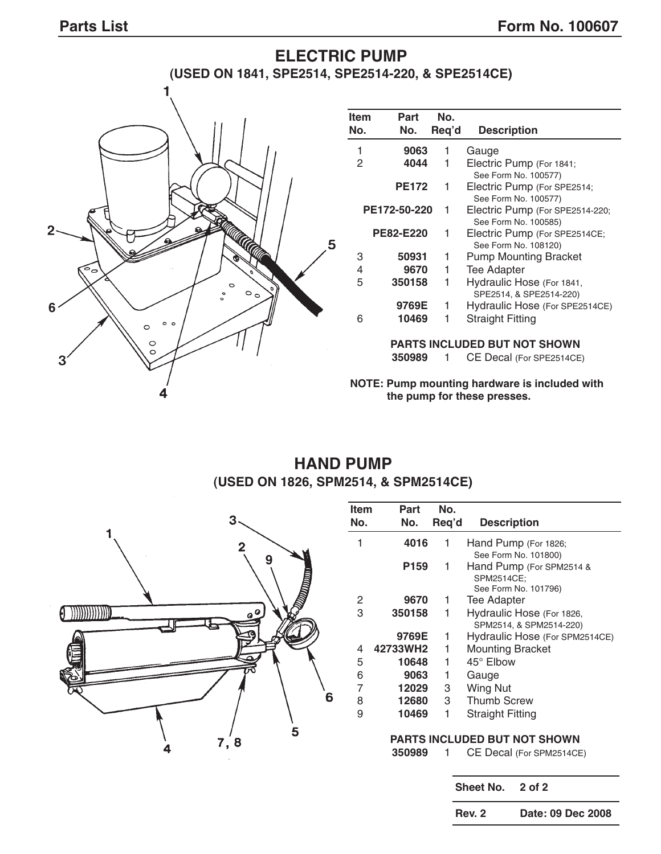#### **ELECTRIC PUMP (USED ON 1841, SPE2514, SPE2514-220, & SPE2514CE)**  $\overline{\mathbf{1}}$ **Item Part No. No. No. Req'd Description** 1 **9063** 1 Gauge 1 Electric Pump (For 1841; See Form No. 100577) PE172 1 Electric Pump (For SPE2514; See Form No. 100577) **PE172-50-220** 1 Electric Pump (For SPE2514-220; See Form No. 100585)  $\overline{2}$ PE82-E220 1 Electric Pump (For SPE2514CE; 5 See Form No. 108120) 3 **50931** 1 Pump Mounting Bracket 4 **9670** 1 Tee Adapter 5 **350158** 1 Hydraulic Hose (For 1841, SPE2514, & SPE2514-220) **9769E** 1 Hydraulic Hose (For SPE2514CE) **6** 6 **10469** 1 Straight Fitting  $\circ$   $\circ$  $\circ$  $\circ$ **PARTS INCLUDED BUT NOT SHOWN**  $\circ$ **350989** 1 CE Decal (For SPE2514CE) 3 **NOTE: Pump mounting hardware is included with the pump for these presses.**

### **HAND PUMP (USED ON 1826, SPM2514, & SPM2514CE)**



| <b>Item</b> | Part     | No.   |                                     |
|-------------|----------|-------|-------------------------------------|
| No.         | No.      | Reg'd | <b>Description</b>                  |
| 1           | 4016     | 1     | Hand Pump (For 1826;                |
|             |          |       | See Form No. 101800)                |
|             | P159     | 1     | Hand Pump (For SPM2514 &            |
|             |          |       | SPM2514CE;                          |
|             |          |       | See Form No. 101796)                |
| 2           | 9670     | 1     | Tee Adapter                         |
| 3           | 350158   | 1     | Hydraulic Hose (For 1826,           |
|             |          |       | SPM2514, & SPM2514-220)             |
|             | 9769E    | 1     | Hydraulic Hose (For SPM2514CE)      |
| 4           | 42733WH2 | 1     | <b>Mounting Bracket</b>             |
| 5           | 10648    | 1     | 45° Elbow                           |
| 6           | 9063     | 1     | Gauge                               |
| 7           | 12029    | 3     | Wing Nut                            |
| 8           | 12680    | 3     | <b>Thumb Screw</b>                  |
| 9           | 10469    | 1     | <b>Straight Fitting</b>             |
|             |          |       | <b>PARTS INCLUDED BUT NOT SHOWN</b> |
|             | 350989   | 1     | CE Decal (For SPM2514CE)            |
|             |          |       |                                     |
|             |          |       |                                     |
|             |          |       | Sheet No.<br>2 of 2                 |

**Rev. 2 Date: 09 Dec 2008**